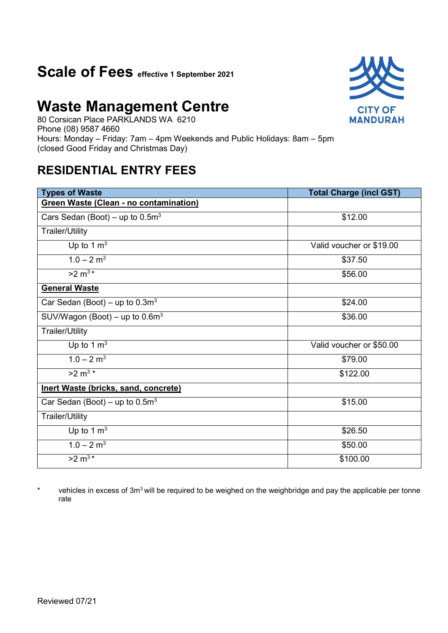### **Scale of Fees effective 1 September 2021**

## **Waste Management Centre**

80 Corsican Place PARKLANDS WA 6210 Phone (08) 9587 4660 Hours: Monday – Friday: 7am – 4pm Weekends and Public Holidays: 8am – 5pm (closed Good Friday and Christmas Day)

### **RESIDENTIAL ENTRY FEES**

| <b>Types of Waste</b>                         | <b>Total Charge (incl GST)</b> |
|-----------------------------------------------|--------------------------------|
| <b>Green Waste (Clean - no contamination)</b> |                                |
| Cars Sedan (Boot) – up to $0.5m3$             | \$12.00                        |
| <b>Trailer/Utility</b>                        |                                |
| Up to 1 $m3$                                  | Valid voucher or \$19.00       |
| $1.0 - 2 m3$                                  | \$37.50                        |
| $>2 m^{3*}$                                   | \$56.00                        |
| <b>General Waste</b>                          |                                |
| Car Sedan (Boot) – up to $0.3m3$              | \$24.00                        |
| SUV/Wagon (Boot) – up to $0.6m3$              | \$36.00                        |
| <b>Trailer/Utility</b>                        |                                |
| Up to 1 $m3$                                  | Valid voucher or \$50.00       |
| $1.0 - 2 m3$                                  | \$79.00                        |
| $>2 \, \text{m}^{3 \, \star}$                 | \$122.00                       |
| Inert Waste (bricks, sand, concrete)          |                                |
| Car Sedan (Boot) – up to $0.5m3$              | \$15.00                        |
| <b>Trailer/Utility</b>                        |                                |
| Up to 1 $m3$                                  | \$26.50                        |
| $1.0 - 2 m3$                                  | \$50.00                        |
| $>2 \text{ m}^{3*}$                           | \$100.00                       |

\* vehicles in excess of 3m<sup>3</sup> will be required to be weighed on the weighbridge and pay the applicable per tonne rate

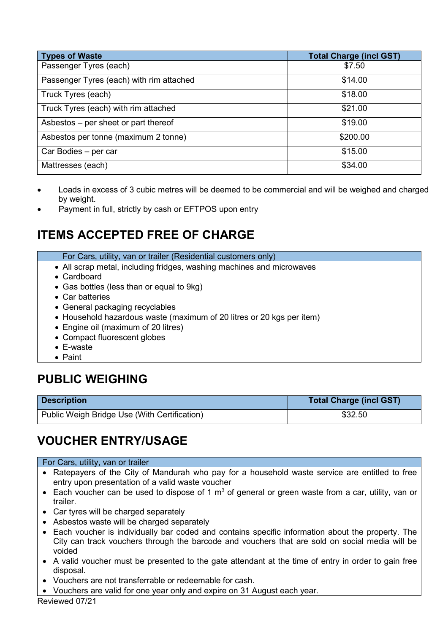| Types of Waste                           | <b>Total Charge (incl GST)</b> |
|------------------------------------------|--------------------------------|
| Passenger Tyres (each)                   | \$7.50                         |
| Passenger Tyres (each) with rim attached | \$14.00                        |
| Truck Tyres (each)                       | \$18.00                        |
| Truck Tyres (each) with rim attached     | \$21.00                        |
| Asbestos - per sheet or part thereof     | \$19.00                        |
| Asbestos per tonne (maximum 2 tonne)     | \$200.00                       |
| Car Bodies - per car                     | \$15.00                        |
| Mattresses (each)                        | \$34.00                        |

- Loads in excess of 3 cubic metres will be deemed to be commercial and will be weighed and charged by weight.
- Payment in full, strictly by cash or EFTPOS upon entry

### **ITEMS ACCEPTED FREE OF CHARGE**

| For Cars, utility, van or trailer (Residential customers only) |  |
|----------------------------------------------------------------|--|
|----------------------------------------------------------------|--|

- All scrap metal, including fridges, washing machines and microwaves
- Cardboard
- Gas bottles (less than or equal to 9kg)
- Car batteries
- General packaging recyclables
- Household hazardous waste (maximum of 20 litres or 20 kgs per item)
- Engine oil (maximum of 20 litres)
- Compact fluorescent globes
- E-waste
- Paint

### **PUBLIC WEIGHING**

| <b>Description</b>                           | <b>Total Charge (incl GST)</b> |
|----------------------------------------------|--------------------------------|
| Public Weigh Bridge Use (With Certification) | \$32.50                        |

### **VOUCHER ENTRY/USAGE**

#### For Cars, utility, van or trailer

- Ratepayers of the City of Mandurah who pay for a household waste service are entitled to free entry upon presentation of a valid waste voucher
- Each voucher can be used to dispose of 1  $m<sup>3</sup>$  of general or green waste from a car, utility, van or trailer.
- Car tyres will be charged separately
- Asbestos waste will be charged separately
- Each voucher is individually bar coded and contains specific information about the property. The City can track vouchers through the barcode and vouchers that are sold on social media will be voided
- A valid voucher must be presented to the gate attendant at the time of entry in order to gain free disposal.
- Vouchers are not transferrable or redeemable for cash.
- Vouchers are valid for one year only and expire on 31 August each year.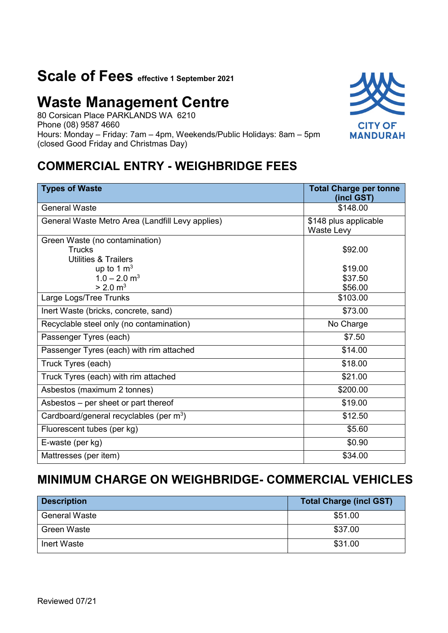# **Scale of Fees effective 1 September 2021**

# **Waste Management Centre**

80 Corsican Place PARKLANDS WA 6210 Phone (08) 9587 4660 Hours: Monday – Friday: 7am – 4pm, Weekends/Public Holidays: 8am – 5pm (closed Good Friday and Christmas Day)

### **COMMERCIAL ENTRY - WEIGHBRIDGE FEES**

| <b>Types of Waste</b>                                                              | <b>Total Charge per tonne</b><br>(incl GST) |
|------------------------------------------------------------------------------------|---------------------------------------------|
| <b>General Waste</b>                                                               | \$148.00                                    |
| General Waste Metro Area (Landfill Levy applies)                                   | \$148 plus applicable<br>Waste Levy         |
| Green Waste (no contamination)<br><b>Trucks</b><br><b>Utilities &amp; Trailers</b> | \$92.00                                     |
| up to 1 $m3$<br>$1.0 - 2.0$ m <sup>3</sup><br>$> 2.0 \text{ m}^3$                  | \$19.00<br>\$37.50<br>\$56.00               |
| Large Logs/Tree Trunks                                                             | \$103.00                                    |
| Inert Waste (bricks, concrete, sand)                                               | \$73.00                                     |
| Recyclable steel only (no contamination)                                           | No Charge                                   |
| Passenger Tyres (each)                                                             | \$7.50                                      |
| Passenger Tyres (each) with rim attached                                           | \$14.00                                     |
| Truck Tyres (each)                                                                 | \$18.00                                     |
| Truck Tyres (each) with rim attached                                               | \$21.00                                     |
| Asbestos (maximum 2 tonnes)                                                        | \$200.00                                    |
| Asbestos – per sheet or part thereof                                               | \$19.00                                     |
| Cardboard/general recyclables (per m <sup>3</sup> )                                | \$12.50                                     |
| Fluorescent tubes (per kg)                                                         | \$5.60                                      |
| E-waste (per kg)                                                                   | \$0.90                                      |
| Mattresses (per item)                                                              | \$34.00                                     |

### **MINIMUM CHARGE ON WEIGHBRIDGE- COMMERCIAL VEHICLES**

| <b>Description</b>   | <b>Total Charge (incl GST)</b> |
|----------------------|--------------------------------|
| <b>General Waste</b> | \$51.00                        |
| Green Waste          | \$37.00                        |
| Inert Waste          | \$31.00                        |